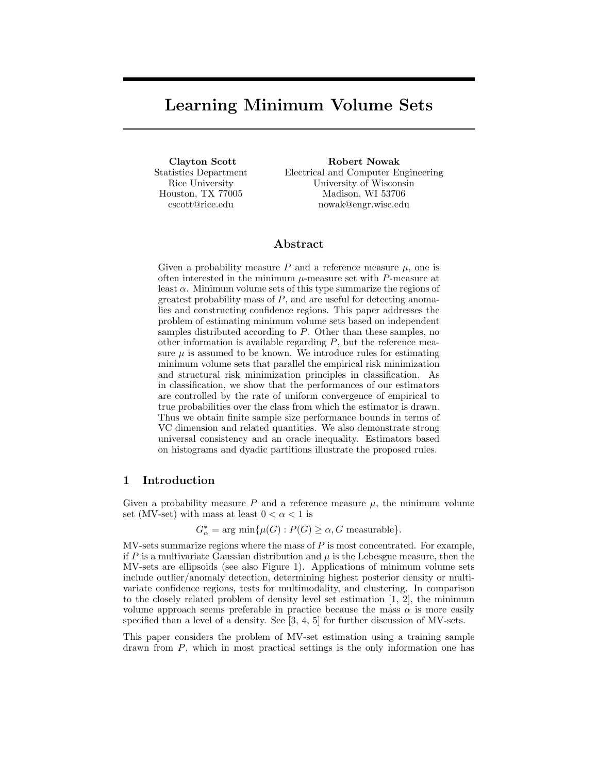# Learning Minimum Volume Sets

Clayton Scott Statistics Department Rice University Houston, TX 77005 cscott@rice.edu

Robert Nowak Electrical and Computer Engineering University of Wisconsin Madison, WI 53706 nowak@engr.wisc.edu

## Abstract

Given a probability measure  $P$  and a reference measure  $\mu$ , one is often interested in the minimum  $\mu$ -measure set with P-measure at least  $\alpha$ . Minimum volume sets of this type summarize the regions of greatest probability mass of  $P$ , and are useful for detecting anomalies and constructing confidence regions. This paper addresses the problem of estimating minimum volume sets based on independent samples distributed according to P. Other than these samples, no other information is available regarding  $P$ , but the reference measure  $\mu$  is assumed to be known. We introduce rules for estimating minimum volume sets that parallel the empirical risk minimization and structural risk minimization principles in classification. As in classification, we show that the performances of our estimators are controlled by the rate of uniform convergence of empirical to true probabilities over the class from which the estimator is drawn. Thus we obtain finite sample size performance bounds in terms of VC dimension and related quantities. We also demonstrate strong universal consistency and an oracle inequality. Estimators based on histograms and dyadic partitions illustrate the proposed rules.

# 1 Introduction

Given a probability measure P and a reference measure  $\mu$ , the minimum volume set (MV-set) with mass at least  $0 < \alpha < 1$  is

 $G^*_{\alpha} = \arg \min \{ \mu(G) : P(G) \ge \alpha, G \text{ measurable} \}.$ 

 $MV-sets$  summarize regions where the mass of  $P$  is most concentrated. For example, if P is a multivariate Gaussian distribution and  $\mu$  is the Lebesgue measure, then the MV-sets are ellipsoids (see also Figure 1). Applications of minimum volume sets include outlier/anomaly detection, determining highest posterior density or multivariate confidence regions, tests for multimodality, and clustering. In comparison to the closely related problem of density level set estimation [1, 2], the minimum volume approach seems preferable in practice because the mass  $\alpha$  is more easily specified than a level of a density. See [3, 4, 5] for further discussion of MV-sets.

This paper considers the problem of MV-set estimation using a training sample drawn from P, which in most practical settings is the only information one has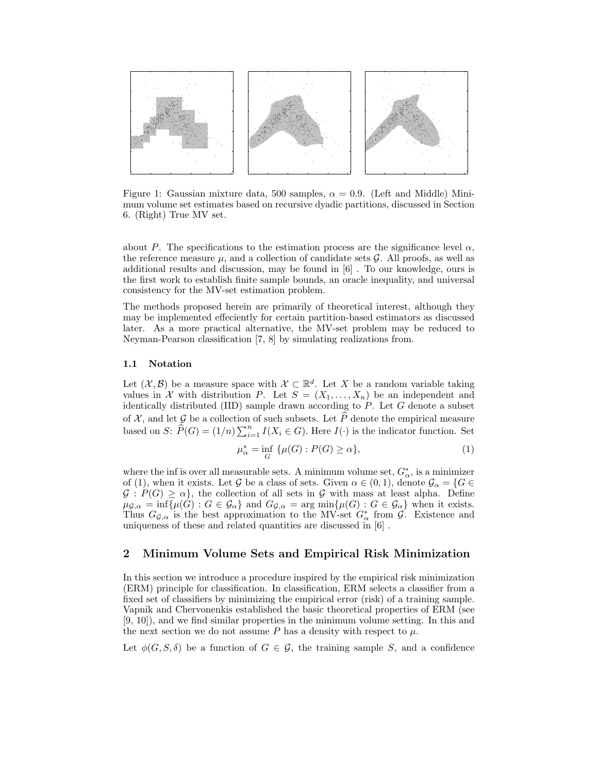

Figure 1: Gaussian mixture data, 500 samples,  $\alpha = 0.9$ . (Left and Middle) Minimum volume set estimates based on recursive dyadic partitions, discussed in Section 6. (Right) True MV set.

about P. The specifications to the estimation process are the significance level  $\alpha$ , the reference measure  $\mu$ , and a collection of candidate sets  $\mathcal G$ . All proofs, as well as additional results and discussion, may be found in [6] . To our knowledge, ours is the first work to establish finite sample bounds, an oracle inequality, and universal consistency for the MV-set estimation problem.

The methods proposed herein are primarily of theoretical interest, although they may be implemented effeciently for certain partition-based estimators as discussed later. As a more practical alternative, the MV-set problem may be reduced to Neyman-Pearson classification [7, 8] by simulating realizations from.

## 1.1 Notation

Let  $(X, \mathcal{B})$  be a measure space with  $\mathcal{X} \subset \mathbb{R}^d$ . Let X be a random variable taking values in X with distribution P. Let  $S = (X_1, \ldots, X_n)$  be an independent and identically distributed (IID) sample drawn according to  $P$ . Let  $G$  denote a subset of X, and let G be a collection of such subsets. Let  $\widehat{P}$  denote the empirical measure based on S:  $\widehat{P}(G) = (1/n) \sum_{i=1}^{n} I(X_i \in G)$ . Here  $I(\cdot)$  is the indicator function. Set

$$
\mu_{\alpha}^* = \inf_{G} \{ \mu(G) : P(G) \ge \alpha \},\tag{1}
$$

where the inf is over all measurable sets. A minimum volume set,  $G^*_{\alpha}$ , is a minimizer of (1), when it exists. Let G be a class of sets. Given  $\alpha \in (0,1)$ , denote  $\mathcal{G}_{\alpha} = \{G \in$  $G: P(G) \ge \alpha$ , the collection of all sets in G with mass at least alpha. Define  $\mu_{\mathcal{G},\alpha} = \inf \{ \mu(G) : G \in \mathcal{G}_{\alpha} \}$  and  $G_{\mathcal{G},\alpha} = \arg \min \{ \mu(G) : G \in \mathcal{G}_{\alpha} \}$  when it exists. Thus  $G_{\mathcal{G},\alpha}$  is the best approximation to the MV-set  $G^*_{\alpha}$  from  $\mathcal{G}$ . Existence and uniqueness of these and related quantities are discussed in [6] .

# 2 Minimum Volume Sets and Empirical Risk Minimization

In this section we introduce a procedure inspired by the empirical risk minimization (ERM) principle for classification. In classification, ERM selects a classifier from a fixed set of classifiers by minimizing the empirical error (risk) of a training sample. Vapnik and Chervonenkis established the basic theoretical properties of ERM (see [9, 10]), and we find similar properties in the minimum volume setting. In this and the next section we do not assume P has a density with respect to  $\mu$ .

Let  $\phi(G, S, \delta)$  be a function of  $G \in \mathcal{G}$ , the training sample S, and a confidence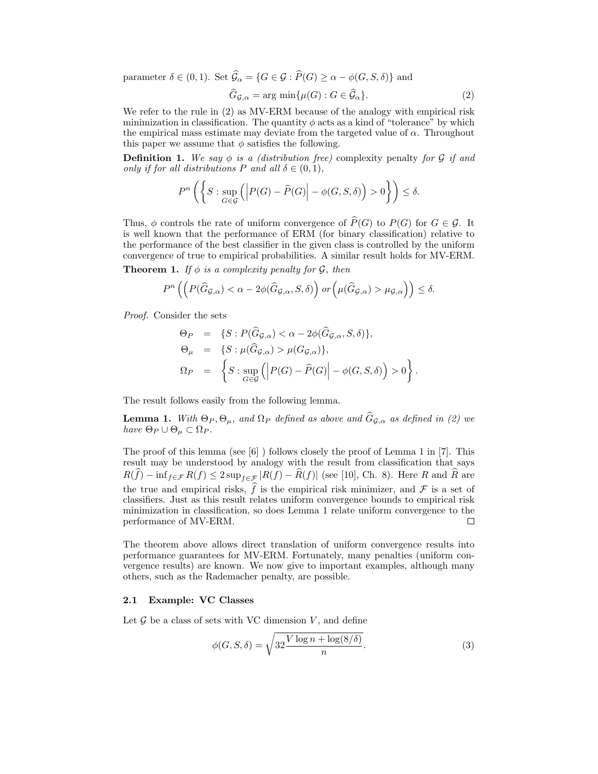parameter  $\delta \in (0,1)$ . Set  $\widehat{G}_{\alpha} = \{G \in \mathcal{G} : \widehat{P}(G) \geq \alpha - \phi(G, S, \delta)\}\$ and

$$
\widehat{G}_{\mathcal{G},\alpha} = \arg\min\{\mu(G) : G \in \widehat{\mathcal{G}}_{\alpha}\}.
$$
\n(2)

We refer to the rule in (2) as MV-ERM because of the analogy with empirical risk minimization in classification. The quantity  $\phi$  acts as a kind of "tolerance" by which the empirical mass estimate may deviate from the targeted value of  $\alpha$ . Throughout this paper we assume that  $\phi$  satisfies the following.

**Definition 1.** We say  $\phi$  is a (distribution free) complexity penalty for G if and only if for all distributions P and all  $\delta \in (0,1)$ ,

$$
P^{n}\left(\left\{S:\sup_{G\in\mathcal{G}}\left(\left|P(G)-\widehat{P}(G)\right|-\phi(G,S,\delta)\right)>0\right\}\right)\leq\delta.
$$

Thus,  $\phi$  controls the rate of uniform convergence of  $\widehat{P}(G)$  to  $P(G)$  for  $G \in \mathcal{G}$ . It is well known that the performance of ERM (for binary classification) relative to the performance of the best classifier in the given class is controlled by the uniform convergence of true to empirical probabilities. A similar result holds for MV-ERM.

**Theorem 1.** If  $\phi$  is a complexity penalty for  $\mathcal{G}$ , then

$$
P^n\left(\left(P(\widehat{G}_{\mathcal{G},\alpha}) < \alpha - 2\phi(\widehat{G}_{\mathcal{G},\alpha},S,\delta)\right) \text{ or }\left(\mu(\widehat{G}_{\mathcal{G},\alpha}) > \mu_{\mathcal{G},\alpha}\right)\right) \leq \delta.
$$

Proof. Consider the sets

$$
\Theta_P = \{ S : P(\hat{G}_{\mathcal{G},\alpha}) < \alpha - 2\phi(\hat{G}_{\mathcal{G},\alpha}, S, \delta) \},
$$
  
\n
$$
\Theta_{\mu} = \{ S : \mu(\hat{G}_{\mathcal{G},\alpha}) > \mu(G_{\mathcal{G},\alpha}) \},
$$
  
\n
$$
\Omega_P = \left\{ S : \sup_{G \in \mathcal{G}} \left( \left| P(G) - \hat{P}(G) \right| - \phi(G, S, \delta) \right) > 0 \right\}.
$$

The result follows easily from the following lemma.

**Lemma 1.** With  $\Theta_P, \Theta_\mu$ , and  $\Omega_P$  defined as above and  $\hat{G}_{\mathcal{G},\alpha}$  as defined in (2) we have  $\Theta_P \cup \Theta_\mu \subset \Omega_P$ .

The proof of this lemma (see [6] ) follows closely the proof of Lemma 1 in [7]. This result may be understood by analogy with the result from classification that says  $R(f) - \inf_{f \in \mathcal{F}} R(f) \leq 2 \sup_{f \in \mathcal{F}} |R(f) - \widehat{R}(f)|$  (see [10], Ch. 8). Here R and  $\widehat{R}$  are the true and empirical risks,  $\widehat{f}$  is the empirical risk minimizer, and  $\mathcal F$  is a set of classifiers. Just as this result relates uniform convergence bounds to empirical risk minimization in classification, so does Lemma 1 relate uniform convergence to the performance of MV-ERM.  $\Box$ 

The theorem above allows direct translation of uniform convergence results into performance guarantees for MV-ERM. Fortunately, many penalties (uniform convergence results) are known. We now give to important examples, although many others, such as the Rademacher penalty, are possible.

## 2.1 Example: VC Classes

Let  $\mathcal G$  be a class of sets with VC dimension  $V$ , and define

$$
\phi(G, S, \delta) = \sqrt{32 \frac{V \log n + \log(8/\delta)}{n}}.
$$
\n(3)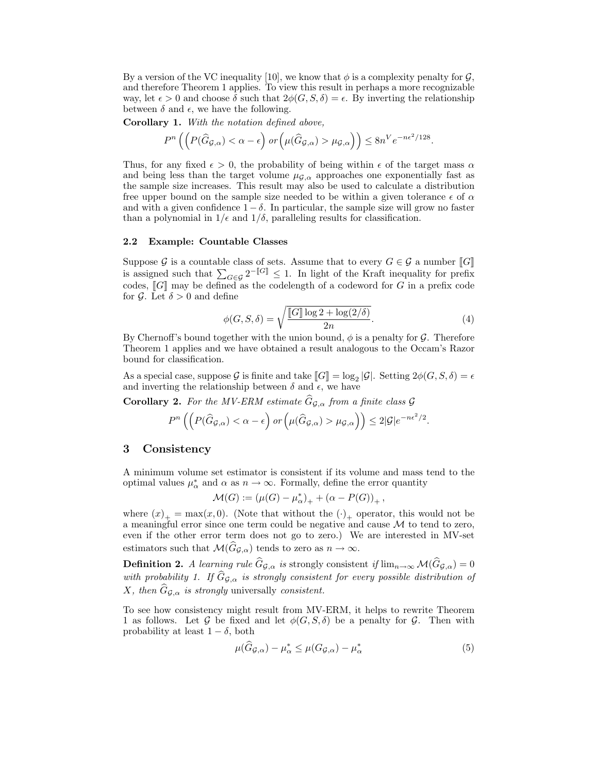By a version of the VC inequality [10], we know that  $\phi$  is a complexity penalty for  $\mathcal{G}$ . and therefore Theorem 1 applies. To view this result in perhaps a more recognizable way, let  $\epsilon > 0$  and choose  $\delta$  such that  $2\phi(G, S, \delta) = \epsilon$ . By inverting the relationship between  $\delta$  and  $\epsilon$ , we have the following.

Corollary 1. With the notation defined above,

$$
P^{n}\left(\left(P(\widehat{G}_{\mathcal{G},\alpha}) < \alpha - \epsilon\right) \text{ or }\left(\mu(\widehat{G}_{\mathcal{G},\alpha}) > \mu_{\mathcal{G},\alpha}\right)\right) \leq 8n^{V} e^{-n\epsilon^{2}/128}.
$$

Thus, for any fixed  $\epsilon > 0$ , the probability of being within  $\epsilon$  of the target mass  $\alpha$ and being less than the target volume  $\mu_{\mathcal{G},\alpha}$  approaches one exponentially fast as the sample size increases. This result may also be used to calculate a distribution free upper bound on the sample size needed to be within a given tolerance  $\epsilon$  of  $\alpha$ and with a given confidence  $1 - \delta$ . In particular, the sample size will grow no faster than a polynomial in  $1/\epsilon$  and  $1/\delta$ , paralleling results for classification.

#### 2.2 Example: Countable Classes

Suppose G is a countable class of sets. Assume that to every  $G \in \mathcal{G}$  a number  $\llbracket G \rrbracket$ is assigned such that  $\sum_{G \in \mathcal{G}} 2^{-\llbracket G \rrbracket} \leq 1$ . In light of the Kraft inequality for prefix codes,  $\llbracket G \rrbracket$  may be defined as the codelength of a codeword for G in a prefix code for  $\mathcal{G}$ . Let  $\delta > 0$  and define

$$
\phi(G, S, \delta) = \sqrt{\frac{\llbracket G \rrbracket \log 2 + \log(2/\delta)}{2n}}.
$$
\n(4)

By Chernoff's bound together with the union bound,  $\phi$  is a penalty for  $\mathcal G$ . Therefore Theorem 1 applies and we have obtained a result analogous to the Occam's Razor bound for classification.

As a special case, suppose G is finite and take  $[\![G]\!] = \log_2 |\mathcal{G}|$ . Setting  $2\phi(G, S, \delta) = \epsilon$ and inverting the relationship between  $\delta$  and  $\epsilon$ , we have

**Corollary 2.** For the MV-ERM estimate  $\hat{G}_{\mathcal{G},\alpha}$  from a finite class  $\mathcal{G}$ 

$$
P^{n}\left(\left(P(\widehat{G}_{\mathcal{G},\alpha})<\alpha-\epsilon\right) or \left(\mu(\widehat{G}_{\mathcal{G},\alpha})>\mu_{\mathcal{G},\alpha}\right)\right) \leq 2|\mathcal{G}|e^{-n\epsilon^{2}/2}.
$$

## 3 Consistency

A minimum volume set estimator is consistent if its volume and mass tend to the optimal values  $\mu^*_{\alpha}$  and  $\alpha$  as  $n \to \infty$ . Formally, define the error quantity

$$
\mathcal{M}(G) := (\mu(G) - \mu_{\alpha}^*)_+ + (\alpha - P(G))_+,
$$

where  $(x)_+ = \max(x, 0)$ . (Note that without the  $(\cdot)_+$  operator, this would not be a meaningful error since one term could be negative and cause  $M$  to tend to zero, even if the other error term does not go to zero.) We are interested in MV-set estimators such that  $\mathcal{M}(\widehat{G}_{\mathcal{G},\alpha})$  tends to zero as  $n \to \infty$ .

**Definition 2.** A learning rule  $\hat{G}_{\mathcal{G},\alpha}$  is strongly consistent if  $\lim_{n\to\infty} \mathcal{M}(\hat{G}_{\mathcal{G},\alpha}) = 0$ with probability 1. If  $\widehat{G}_{\mathcal{G},\alpha}$  is strongly consistent for every possible distribution of X, then  $\widehat{G}_{\mathcal{G},\alpha}$  is strongly universally consistent.

To see how consistency might result from MV-ERM, it helps to rewrite Theorem 1 as follows. Let G be fixed and let  $\phi(G, S, \delta)$  be a penalty for G. Then with probability at least  $1 - \delta$ , both

$$
\mu(\widehat{G}_{\mathcal{G},\alpha}) - \mu_{\alpha}^* \le \mu(G_{\mathcal{G},\alpha}) - \mu_{\alpha}^* \tag{5}
$$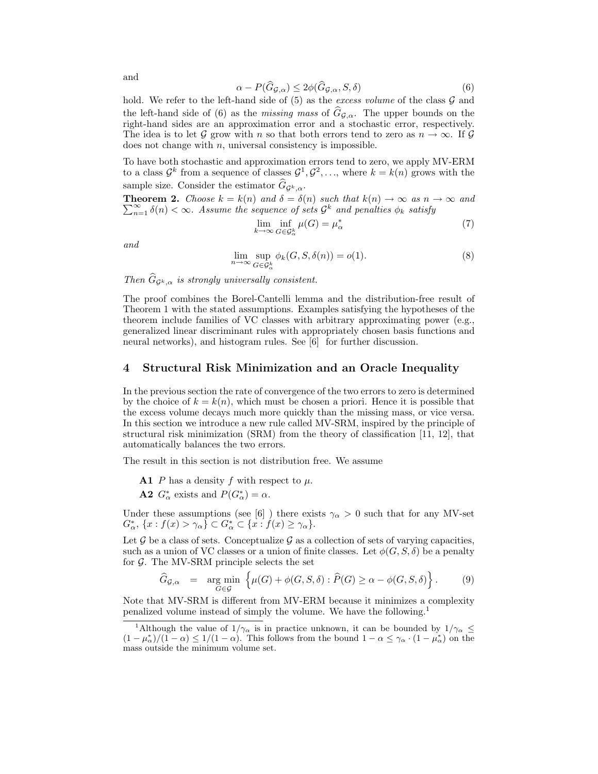$$
\alpha - P(\widehat{G}_{\mathcal{G},\alpha}) \le 2\phi(\widehat{G}_{\mathcal{G},\alpha}, S, \delta)
$$
\n<sup>(6)</sup>

hold. We refer to the left-hand side of  $(5)$  as the excess volume of the class  $\mathcal G$  and the left-hand side of (6) as the *missing mass* of  $\hat{G}_{\mathcal{G},\alpha}$ . The upper bounds on the right-hand sides are an approximation error and a stochastic error, respectively. The idea is to let G grow with n so that both errors tend to zero as  $n \to \infty$ . If G does not change with  $n$ , universal consistency is impossible.

To have both stochastic and approximation errors tend to zero, we apply MV-ERM to a class  $\mathcal{G}^k$  from a sequence of classes  $\mathcal{G}^1, \mathcal{G}^2, \ldots$ , where  $k = k(n)$  grows with the sample size. Consider the estimator  $G_{\mathcal{G}^k,\alpha}$ .

**Theorem 2.** Choose  $k = k(n)$  and  $\delta = \delta(n)$  such that  $k(n) \to \infty$  as  $n \to \infty$  and  $\sum_{n=1}^{\infty} k(n)$  for a decomposition of  $\delta^k$  and generalized position.  $\sum_{n=1}^{\infty} \delta(n) < \infty$ . Assume the sequence of sets  $\mathcal{G}^k$  and penalties  $\phi_k$  satisfy

$$
\lim_{k \to \infty} \inf_{G \in \mathcal{G}_{\alpha}^k} \mu(G) = \mu_{\alpha}^* \tag{7}
$$

and

$$
\lim_{n \to \infty} \sup_{G \in \mathcal{G}^k_{\alpha}} \phi_k(G, S, \delta(n)) = o(1). \tag{8}
$$

Then  $G_{\mathcal{G}^k, \alpha}$  is strongly universally consistent.

The proof combines the Borel-Cantelli lemma and the distribution-free result of Theorem 1 with the stated assumptions. Examples satisfying the hypotheses of the theorem include families of VC classes with arbitrary approximating power (e.g., generalized linear discriminant rules with appropriately chosen basis functions and neural networks), and histogram rules. See [6] for further discussion.

## 4 Structural Risk Minimization and an Oracle Inequality

In the previous section the rate of convergence of the two errors to zero is determined by the choice of  $k = k(n)$ , which must be chosen a priori. Hence it is possible that the excess volume decays much more quickly than the missing mass, or vice versa. In this section we introduce a new rule called MV-SRM, inspired by the principle of structural risk minimization (SRM) from the theory of classification [11, 12], that automatically balances the two errors.

The result in this section is not distribution free. We assume

A1 P has a density f with respect to  $\mu$ .

**A2**  $G^*_{\alpha}$  exists and  $P(G^*_{\alpha}) = \alpha$ .

Under these assumptions (see [6] ) there exists  $\gamma_\alpha > 0$  such that for any MV-set  $G_{\alpha}^*, \{x : f(x) > \gamma_{\alpha}\}\subset G_{\alpha}^* \subset \{x : f(x) \geq \gamma_{\alpha}\}.$ 

Let  $\mathcal G$  be a class of sets. Conceptualize  $\mathcal G$  as a collection of sets of varying capacities, such as a union of VC classes or a union of finite classes. Let  $\phi(G, S, \delta)$  be a penalty for  $\mathcal{G}$ . The MV-SRM principle selects the set

$$
\widehat{G}_{\mathcal{G},\alpha} = \underset{G \in \mathcal{G}}{\arg \min} \left\{ \mu(G) + \phi(G, S, \delta) : \widehat{P}(G) \ge \alpha - \phi(G, S, \delta) \right\}.
$$
 (9)

Note that MV-SRM is different from MV-ERM because it minimizes a complexity penalized volume instead of simply the volume. We have the following.<sup>1</sup>

and

<sup>&</sup>lt;sup>1</sup>Although the value of  $1/\gamma_\alpha$  is in practice unknown, it can be bounded by  $1/\gamma_\alpha \leq$  $(1-\mu_{\alpha}^*)/(1-\alpha) \leq 1/(1-\alpha)$ . This follows from the bound  $1-\alpha \leq \gamma_{\alpha} \cdot (1-\mu_{\alpha}^*)$  on the mass outside the minimum volume set.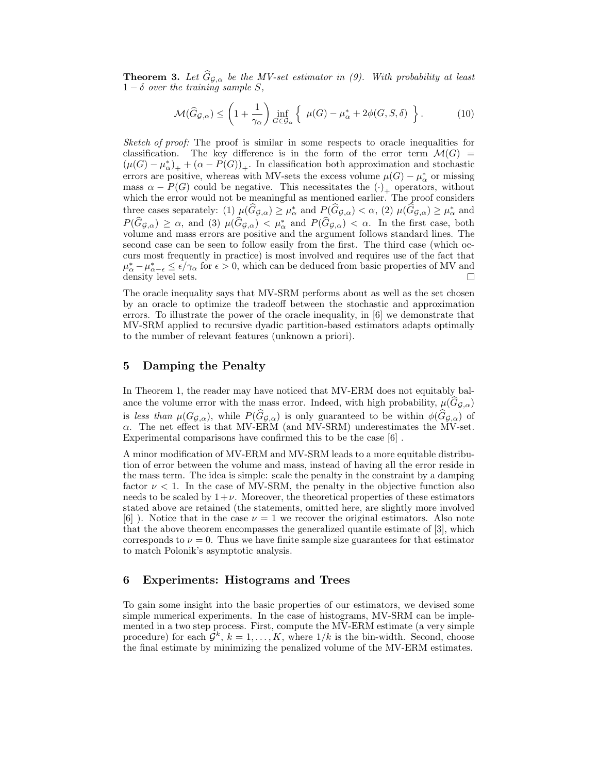**Theorem 3.** Let  $\widehat{G}_{\mathcal{G},\alpha}$  be the MV-set estimator in (9). With probability at least  $1 - \delta$  over the training sample S,

$$
\mathcal{M}(\widehat{G}_{\mathcal{G},\alpha}) \le \left(1 + \frac{1}{\gamma_{\alpha}}\right) \inf_{G \in \mathcal{G}_{\alpha}} \left\{ \mu(G) - \mu_{\alpha}^* + 2\phi(G, S, \delta) \right\}.
$$
 (10)

Sketch of proof: The proof is similar in some respects to oracle inequalities for classification. The key difference is in the form of the error term  $\mathcal{M}(G)$  =  $(\mu(G) - \mu_{\alpha}^*)_+ + (\alpha - P(G))_+.$  In classification both approximation and stochastic errors are positive, whereas with MV-sets the excess volume  $\mu(G) - \mu_{\alpha}^*$  or missing mass  $\alpha - P(G)$  could be negative. This necessitates the  $(\cdot)_{+}$  operators, without which the error would not be meaningful as mentioned earlier. The proof considers three cases separately: (1)  $\mu(\widehat{G}_{\mathcal{G},\alpha}) \geq \mu_{\alpha}^*$  and  $P(\widehat{G}_{\mathcal{G},\alpha}) < \alpha$ , (2)  $\mu(\widehat{G}_{\mathcal{G},\alpha}) \geq \mu_{\alpha}^*$  and  $P(\widehat{G}_{\mathcal{G},\alpha}) \geq \alpha$ , and (3)  $\mu(\widehat{G}_{\mathcal{G},\alpha}) < \mu_{\alpha}^*$  and  $P(\widehat{G}_{\mathcal{G},\alpha}) < \alpha$ . In the first case, both volume and mass errors are positive and the argument follows standard lines. The second case can be seen to follow easily from the first. The third case (which occurs most frequently in practice) is most involved and requires use of the fact that  $\mu_{\alpha}^* - \mu_{\alpha-\epsilon}^* \leq \epsilon/\gamma_{\alpha}$  for  $\epsilon > 0$ , which can be deduced from basic properties of MV and density level sets.

The oracle inequality says that MV-SRM performs about as well as the set chosen by an oracle to optimize the tradeoff between the stochastic and approximation errors. To illustrate the power of the oracle inequality, in [6] we demonstrate that MV-SRM applied to recursive dyadic partition-based estimators adapts optimally to the number of relevant features (unknown a priori).

# 5 Damping the Penalty

In Theorem 1, the reader may have noticed that MV-ERM does not equitably balance the volume error with the mass error. Indeed, with high probability,  $\mu(\widehat{G}_{\mathcal{G},\alpha})$ is less than  $\mu(G_{\mathcal{G},\alpha})$ , while  $P(G_{\mathcal{G},\alpha})$  is only guaranteed to be within  $\phi(G_{\mathcal{G},\alpha})$  of  $\alpha$ . The net effect is that MV-ERM (and MV-SRM) underestimates the MV-set. Experimental comparisons have confirmed this to be the case [6] .

A minor modification of MV-ERM and MV-SRM leads to a more equitable distribution of error between the volume and mass, instead of having all the error reside in the mass term. The idea is simple: scale the penalty in the constraint by a damping factor  $\nu < 1$ . In the case of MV-SRM, the penalty in the objective function also needs to be scaled by  $1+\nu$ . Moreover, the theoretical properties of these estimators stated above are retained (the statements, omitted here, are slightly more involved [6]). Notice that in the case  $\nu = 1$  we recover the original estimators. Also note that the above theorem encompasses the generalized quantile estimate of [3], which corresponds to  $\nu = 0$ . Thus we have finite sample size guarantees for that estimator to match Polonik's asymptotic analysis.

## 6 Experiments: Histograms and Trees

To gain some insight into the basic properties of our estimators, we devised some simple numerical experiments. In the case of histograms, MV-SRM can be implemented in a two step process. First, compute the MV-ERM estimate (a very simple procedure) for each  $\mathcal{G}^k$ ,  $k = 1, ..., K$ , where  $1/k$  is the bin-width. Second, choose the final estimate by minimizing the penalized volume of the MV-ERM estimates.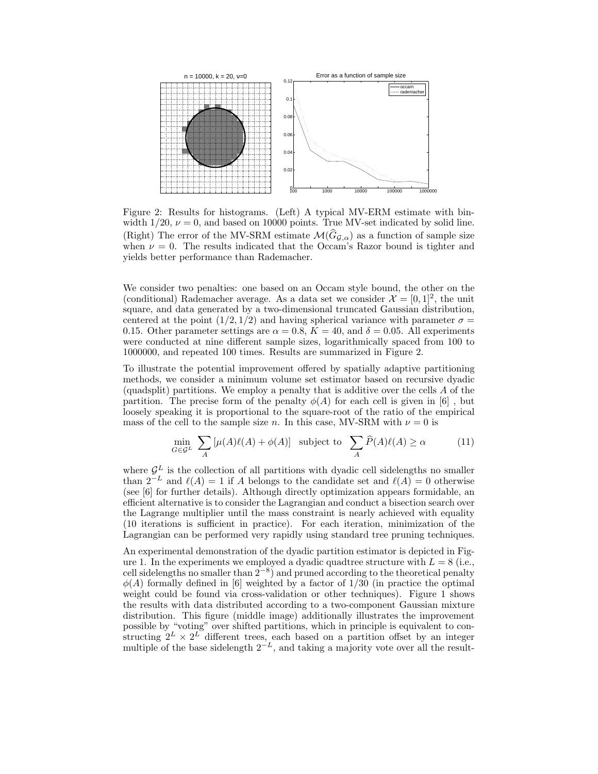

Figure 2: Results for histograms. (Left) A typical MV-ERM estimate with binwidth  $1/20$ ,  $\nu = 0$ , and based on 10000 points. True MV-set indicated by solid line. (Right) The error of the MV-SRM estimate  $\mathcal{M}(\widehat{G}_{\mathcal{G},\alpha})$  as a function of sample size when  $\nu = 0$ . The results indicated that the Occam's Razor bound is tighter and yields better performance than Rademacher.

We consider two penalties: one based on an Occam style bound, the other on the (conditional) Rademacher average. As a data set we consider  $\mathcal{X} = [0,1]^2$ , the unit square, and data generated by a two-dimensional truncated Gaussian distribution, centered at the point  $(1/2, 1/2)$  and having spherical variance with parameter  $\sigma =$ 0.15. Other parameter settings are  $\alpha = 0.8$ ,  $K = 40$ , and  $\delta = 0.05$ . All experiments were conducted at nine different sample sizes, logarithmically spaced from 100 to 1000000, and repeated 100 times. Results are summarized in Figure 2.

To illustrate the potential improvement offered by spatially adaptive partitioning methods, we consider a minimum volume set estimator based on recursive dyadic (quadsplit) partitions. We employ a penalty that is additive over the cells A of the partition. The precise form of the penalty  $\phi(A)$  for each cell is given in [6], but loosely speaking it is proportional to the square-root of the ratio of the empirical mass of the cell to the sample size n. In this case, MV-SRM with  $\nu = 0$  is

$$
\min_{G \in \mathcal{G}^L} \sum_A \left[ \mu(A)\ell(A) + \phi(A) \right] \text{ subject to } \sum_A \widehat{P}(A)\ell(A) \ge \alpha \tag{11}
$$

where  $\mathcal{G}^L$  is the collection of all partitions with dyadic cell sidelengths no smaller than  $2^{-L}$  and  $\ell(A) = 1$  if A belongs to the candidate set and  $\ell(A) = 0$  otherwise (see [6] for further details). Although directly optimization appears formidable, an efficient alternative is to consider the Lagrangian and conduct a bisection search over the Lagrange multiplier until the mass constraint is nearly achieved with equality (10 iterations is sufficient in practice). For each iteration, minimization of the Lagrangian can be performed very rapidly using standard tree pruning techniques.

An experimental demonstration of the dyadic partition estimator is depicted in Figure 1. In the experiments we employed a dyadic quadtree structure with  $L = 8$  (i.e., cell sidelengths no smaller than  $2^{-8}$ ) and pruned according to the theoretical penalty  $\phi(A)$  formally defined in [6] weighted by a factor of 1/30 (in practice the optimal weight could be found via cross-validation or other techniques). Figure 1 shows the results with data distributed according to a two-component Gaussian mixture distribution. This figure (middle image) additionally illustrates the improvement possible by "voting" over shifted partitions, which in principle is equivalent to constructing  $2^L \times 2^L$  different trees, each based on a partition offset by an integer multiple of the base sidelength  $2^{-L}$ , and taking a majority vote over all the result-